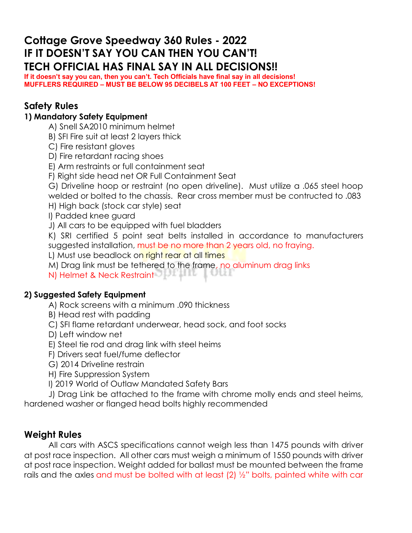# **Cottage Grove Speedway 360 Rules - 2022 IF IT DOESN'T SAY YOU CAN THEN YOU CAN'T! TECH OFFICIAL HAS FINAL SAY IN ALL DECISIONS!!**

**If it doesn't say you can, then you can't. Tech Officials have final say in all decisions! MUFFLERS REQUIRED – MUST BE BELOW 95 DECIBELS AT 100 FEET – NO EXCEPTIONS!**

### **Safety Rules**

#### **1) Mandatory Safety Equipment**

- A) Snell SA2010 minimum helmet
- B) SFI Fire suit at least 2 layers thick
- C) Fire resistant gloves
- D) Fire retardant racing shoes
- E) Arm restraints or full containment seat
- F) Right side head net OR Full Containment Seat
- G) Driveline hoop or restraint (no open driveline). Must utilize a .065 steel hoop welded or bolted to the chassis. Rear cross member must be contructed to .083
- H) High back (stock car style) seat
- I) Padded knee guard
- J) All cars to be equipped with fuel bladders
- K) SRI certified 5 point seat belts installed in accordance to manufacturers suggested installation, must be no more than 2 years old, no fraying.
- L) Must use beadlock on right rear at all times
- M) Drag link must be tethered to the frame, no aluminum drag links
- N) Helmet & Neck Restraint

#### **2) Suggested Safety Equipment**

- A) Rock screens with a minimum .090 thickness
- B) Head rest with padding
- C) SFI flame retardant underwear, head sock, and foot socks
- D) Left window net
- E) Steel tie rod and drag link with steel heims
- F) Drivers seat fuel/fume deflector
- G) 2014 Driveline restrain
- H) Fire Suppression System
- I) 2019 World of Outlaw Mandated Safety Bars
- J) Drag Link be attached to the frame with chrome molly ends and steel heims, hardened washer or flanged head bolts highly recommended

#### **Weight Rules**

All cars with ASCS specifications cannot weigh less than 1475 pounds with driver at post race inspection. All other cars must weigh a minimum of 1550 pounds with driver at post race inspection. Weight added for ballast must be mounted between the frame rails and the axles and must be bolted with at least (2) ½" bolts, painted white with car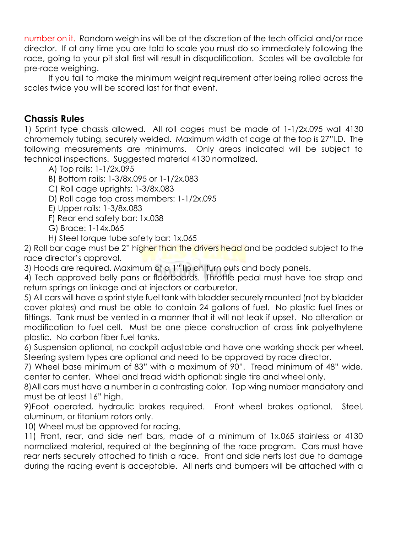number on it. Random weigh ins will be at the discretion of the tech official and/or race director. If at any time you are told to scale you must do so immediately following the race, going to your pit stall first will result in disqualification. Scales will be available for pre-race weighing.

If you fail to make the minimum weight requirement after being rolled across the scales twice you will be scored last for that event.

#### **Chassis Rules**

1) Sprint type chassis allowed. All roll cages must be made of 1-1/2x.095 wall 4130 chromemoly tubing, securely welded. Maximum width of cage at the top is 27"I.D. The following measurements are minimums. Only areas indicated will be subject to technical inspections. Suggested material 4130 normalized.

A) Top rails: 1-1/2x.095

B) Bottom rails: 1-3/8x.095 or 1-1/2x.083

C) Roll cage uprights: 1-3/8x.083

D) Roll cage top cross members: 1-1/2x.095

E) Upper rails: 1-3/8x.083

F) Rear end safety bar: 1x.038

G) Brace: 1-14x.065

H) Steel torque tube safety bar: 1x.065

2) Roll bar cage must be 2" higher than the drivers head and be padded subject to the race director's approval.

3) Hoods are required. Maximum of a 1" lip on turn outs and body panels.

4) Tech approved belly pans or floorboards. Throttle pedal must have toe strap and return springs on linkage and at injectors or carburetor.

5) All cars will have a sprint style fuel tank with bladder securely mounted (not by bladder cover plates) and must be able to contain 24 gallons of fuel. No plastic fuel lines or fittings. Tank must be vented in a manner that it will not leak if upset. No alteration or modification to fuel cell. Must be one piece construction of cross link polyethylene plastic. No carbon fiber fuel tanks.

6) Suspension optional, no cockpit adjustable and have one working shock per wheel. Steering system types are optional and need to be approved by race director.

7) Wheel base minimum of 83" with a maximum of 90". Tread minimum of 48" wide, center to center. Wheel and tread width optional; single tire and wheel only.

8)All cars must have a number in a contrasting color. Top wing number mandatory and must be at least 16" high.

9)Foot operated, hydraulic brakes required. Front wheel brakes optional. Steel, aluminum, or titanium rotors only.

10) Wheel must be approved for racing.

11) Front, rear, and side nerf bars, made of a minimum of 1x.065 stainless or 4130 normalized material, required at the beginning of the race program. Cars must have rear nerfs securely attached to finish a race. Front and side nerfs lost due to damage during the racing event is acceptable. All nerfs and bumpers will be attached with a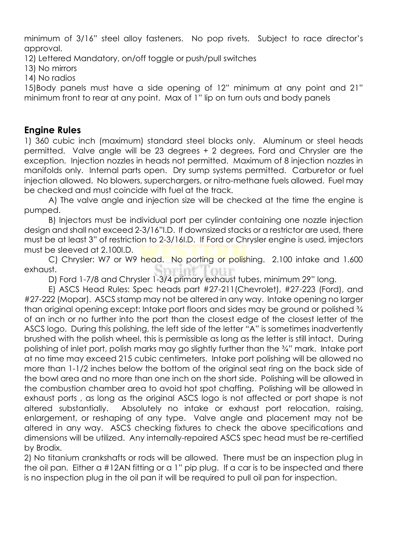minimum of 3/16" steel alloy fasteners. No pop rivets. Subject to race director's approval.

12) Lettered Mandatory, on/off toggle or push/pull switches

13) No mirrors

14) No radios

15)Body panels must have a side opening of 12" minimum at any point and 21" minimum front to rear at any point. Max of 1" lip on turn outs and body panels

### **Engine Rules**

1) 360 cubic inch (maximum) standard steel blocks only. Aluminum or steel heads permitted. Valve angle will be 23 degrees + 2 degrees, Ford and Chrysler are the exception. Injection nozzles in heads not permitted. Maximum of 8 injection nozzles in manifolds only. Internal parts open. Dry sump systems permitted. Carburetor or fuel injection allowed. No blowers, superchargers, or nitro-methane fuels allowed. Fuel may be checked and must coincide with fuel at the track.

A) The valve angle and injection size will be checked at the time the engine is pumped.

B) Injectors must be individual port per cylinder containing one nozzle injection design and shall not exceed 2-3/16"I.D. If downsized stacks or a restrictor are used, there must be at least 3" of restriction to 2-3/16I.D. If Ford or Chrysler engine is used, imjectors must be sleeved at 2.100I.D.

C) Chrysler: W7 or W9 head. No porting or polishing. 2.100 intake and 1.600 st. exhaust.

D) Ford 1-7/8 and Chrysler 1-3/4 primary exhaust tubes, minimum 29" long.

E) ASCS Head Rules: Spec heads part #27-211(Chevrolet), #27-223 (Ford), and #27-222 (Mopar). ASCS stamp may not be altered in any way. Intake opening no larger than original opening except: Intake port floors and sides may be ground or polished  $\frac{3}{4}$ of an inch or no further into the port than the closest edge of the closest letter of the ASCS logo. During this polishing, the left side of the letter "A" is sometimes inadvertently brushed with the polish wheel, this is permissible as long as the letter is still intact. During polishing of inlet port, polish marks may go slightly further than the ¾" mark. Intake port at no time may exceed 215 cubic centimeters. Intake port polishing will be allowed no more than 1-1/2 inches below the bottom of the original seat ring on the back side of the bowl area and no more than one inch on the short side. Polishing will be allowed in the combustion chamber area to avoid hot spot chaffing. Polishing will be allowed in exhaust ports , as long as the original ASCS logo is not affected or port shape is not altered substantially. Absolutely no intake or exhaust port relocation, raising, enlargement, or reshaping of any type. Valve angle and placement may not be altered in any way. ASCS checking fixtures to check the above specifications and dimensions will be utilized. Any internally-repaired ASCS spec head must be re-certified by Brodix.

2) No titanium crankshafts or rods will be allowed. There must be an inspection plug in the oil pan. Either a #12AN fitting or a 1" pip plug. If a car is to be inspected and there is no inspection plug in the oil pan it will be required to pull oil pan for inspection.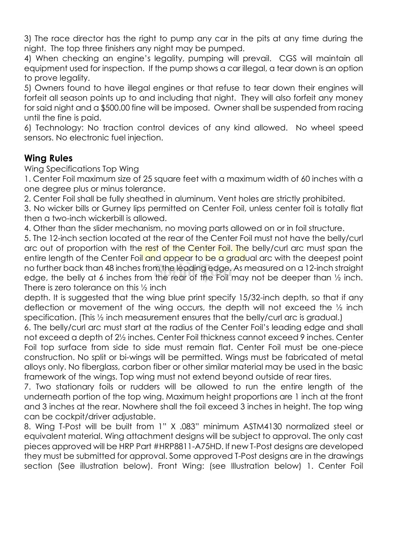3) The race director has the right to pump any car in the pits at any time during the night. The top three finishers any night may be pumped.

4) When checking an engine's legality, pumping will prevail. CGS will maintain all equipment used for inspection. If the pump shows a car illegal, a tear down is an option to prove legality.

5) Owners found to have illegal engines or that refuse to tear down their engines will forfeit all season points up to and including that night. They will also forfeit any money for said night and a \$500.00 fine will be imposed. Owner shall be suspended from racing until the fine is paid.

6) Technology: No traction control devices of any kind allowed. No wheel speed sensors. No electronic fuel injection.

## **Wing Rules**

Wing Specifications Top Wing

1. Center Foil maximum size of 25 square feet with a maximum width of 60 inches with a one degree plus or minus tolerance.

2. Center Foil shall be fully sheathed in aluminum. Vent holes are strictly prohibited.

3. No wicker bills or Gurney lips permitted on Center Foil, unless center foil is totally flat then a two-inch wickerbill is allowed.

4. Other than the slider mechanism, no moving parts allowed on or in foil structure.

5. The 12-inch section located at the rear of the Center Foil must not have the belly/curl arc out of proportion with the rest of the Center Foil. The belly/curl arc must span the entire length of the Center Foil and appear to be a gradual arc with the deepest point no further back than 48 inches from the leading edge. As measured on a 12-inch straight edge, the belly at 6 inches from the rear of the Foil may not be deeper than ½ inch. There is zero tolerance on this ½ inch

depth. It is suggested that the wing blue print specify 15/32-inch depth, so that if any deflection or movement of the wing occurs, the depth will not exceed the ½ inch specification. (This ½ inch measurement ensures that the belly/curl arc is gradual.)

6. The belly/curl arc must start at the radius of the Center Foil's leading edge and shall not exceed a depth of 2½ inches. Center Foil thickness cannot exceed 9 inches. Center Foil top surface from side to side must remain flat. Center Foil must be one-piece construction. No split or bi-wings will be permitted. Wings must be fabricated of metal alloys only. No fiberglass, carbon fiber or other similar material may be used in the basic framework of the wings. Top wing must not extend beyond outside of rear tires.

7. Two stationary foils or rudders will be allowed to run the entire length of the underneath portion of the top wing. Maximum height proportions are 1 inch at the front and 3 inches at the rear. Nowhere shall the foil exceed 3 inches in height. The top wing can be cockpit/driver adjustable.

8. Wing T-Post will be built from 1" X .083" minimum ASTM4130 normalized steel or equivalent material. Wing attachment designs will be subject to approval. The only cast pieces approved will be HRP Part #HRP8811-A75HD. If new T-Post designs are developed they must be submitted for approval. Some approved T-Post designs are in the drawings section (See illustration below). Front Wing: (see Illustration below) 1. Center Foil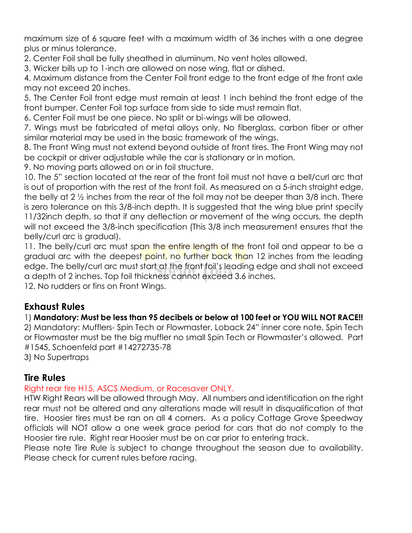maximum size of 6 square feet with a maximum width of 36 inches with a one degree plus or minus tolerance.

2. Center Foil shall be fully sheathed in aluminum. No vent holes allowed.

3. Wicker bills up to 1-inch are allowed on nose wing, flat or dished.

4. Maximum distance from the Center Foil front edge to the front edge of the front axle may not exceed 20 inches.

5. The Center Foil front edge must remain at least 1 inch behind the front edge of the front bumper. Center Foil top surface from side to side must remain flat.

6. Center Foil must be one piece. No split or bi-wings will be allowed.

7. Wings must be fabricated of metal alloys only. No fiberglass, carbon fiber or other similar material may be used in the basic framework of the wings.

8. The Front Wing must not extend beyond outside of front tires. The Front Wing may not be cockpit or driver adjustable while the car is stationary or in motion.

9. No moving parts allowed on or in foil structure.

10. The 5" section located at the rear of the front foil must not have a bell/curl arc that is out of proportion with the rest of the front foil. As measured on a 5-inch straight edge, the belly at 2 ½ inches from the rear of the foil may not be deeper than 3/8 inch. There is zero tolerance on this 3/8-inch depth. It is suggested that the wing blue print specify 11/32inch depth, so that if any deflection or movement of the wing occurs, the depth will not exceed the 3/8-inch specification (This 3/8 inch measurement ensures that the belly/curl arc is gradual).

11. The belly/curl arc must span the entire length of the front foil and appear to be a gradual arc with the deepest point, no further back than 12 inches from the leading edge. The belly/curl arc must start at the front foil's leading edge and shall not exceed a depth of 2 inches. Top foil thickness cannot exceed 3.6 inches.

12. No rudders or fins on Front Wings.

## **Exhaust Rules**

#### 1) **Mandatory: Must be less than 95 decibels or below at 100 feet or YOU WILL NOT RACE!!**

2) Mandatory: Mufflers- Spin Tech or Flowmaster, Loback 24" inner core note, Spin Tech or Flowmaster must be the big muffler no small Spin Tech or Flowmaster's allowed. Part #1545, Schoenfeld part #14272735-78

3) No Supertraps

#### **Tire Rules**

#### Right rear tire H15, ASCS Medium, or Racesaver ONLY.

HTW Right Rears will be allowed through May. All numbers and identification on the right rear must not be altered and any alterations made will result in disqualification of that tire. Hoosier tires must be ran on all 4 corners. As a policy Cottage Grove Speedway officials will NOT allow a one week grace period for cars that do not comply to the Hoosier tire rule. Right rear Hoosier must be on car prior to entering track.

Please note Tire Rule is subject to change throughout the season due to availability. Please check for current rules before racing.